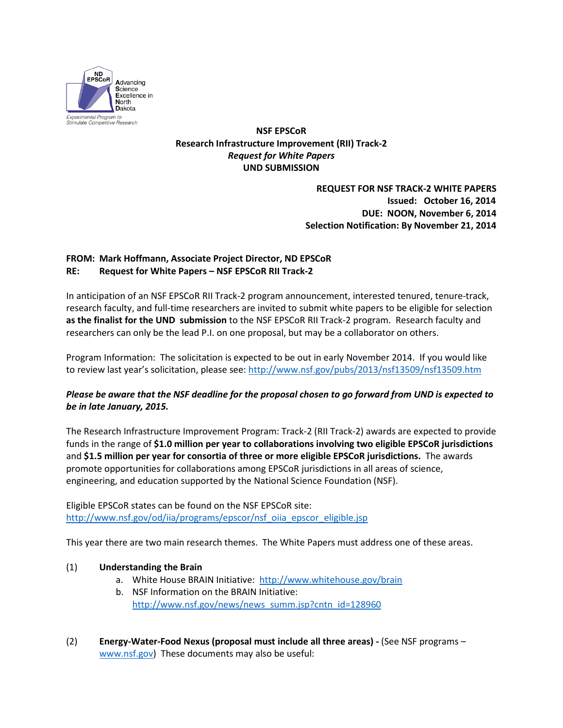

**NSF EPSCoR Research Infrastructure Improvement (RII) Track-2** *Request for White Papers* **UND SUBMISSION**

## **REQUEST FOR NSF TRACK-2 WHITE PAPERS Issued: October 16, 2014 DUE: NOON, November 6, 2014 Selection Notification: By November 21, 2014**

## **FROM: Mark Hoffmann, Associate Project Director, ND EPSCoR RE: Request for White Papers – NSF EPSCoR RII Track-2**

In anticipation of an NSF EPSCoR RII Track-2 program announcement, interested tenured, tenure-track, research faculty, and full-time researchers are invited to submit white papers to be eligible for selection **as the finalist for the UND submission** to the NSF EPSCoR RII Track-2 program. Research faculty and researchers can only be the lead P.I. on one proposal, but may be a collaborator on others.

Program Information: The solicitation is expected to be out in early November 2014. If you would like to review last year's solicitation, please see:<http://www.nsf.gov/pubs/2013/nsf13509/nsf13509.htm>

## *Please be aware that the NSF deadline for the proposal chosen to go forward from UND is expected to be in late January, 2015.*

The Research Infrastructure Improvement Program: Track-2 (RII Track-2) awards are expected to provide funds in the range of **\$1.0 million per year to collaborations involving two eligible EPSCoR jurisdictions** and **\$1.5 million per year for consortia of three or more eligible EPSCoR jurisdictions.** The awards promote opportunities for collaborations among EPSCoR jurisdictions in all areas of science, engineering, and education supported by the National Science Foundation (NSF).

Eligible EPSCoR states can be found on the NSF EPSCoR site: [http://www.nsf.gov/od/iia/programs/epscor/nsf\\_oiia\\_epscor\\_eligible.jsp](http://www.nsf.gov/od/iia/programs/epscor/nsf_oiia_epscor_eligible.jsp)

This year there are two main research themes. The White Papers must address one of these areas.

## (1) **Understanding the Brain**

- a. White House BRAIN Initiative: <http://www.whitehouse.gov/brain>
- b. NSF Information on the BRAIN Initiative: [http://www.nsf.gov/news/news\\_summ.jsp?cntn\\_id=128960](http://www.nsf.gov/news/news_summ.jsp?cntn_id=128960)
- (2) **Energy-Water-Food Nexus (proposal must include all three areas) -** (See NSF programs [www.nsf.gov\)](http://www.nsf.gov/) These documents may also be useful: